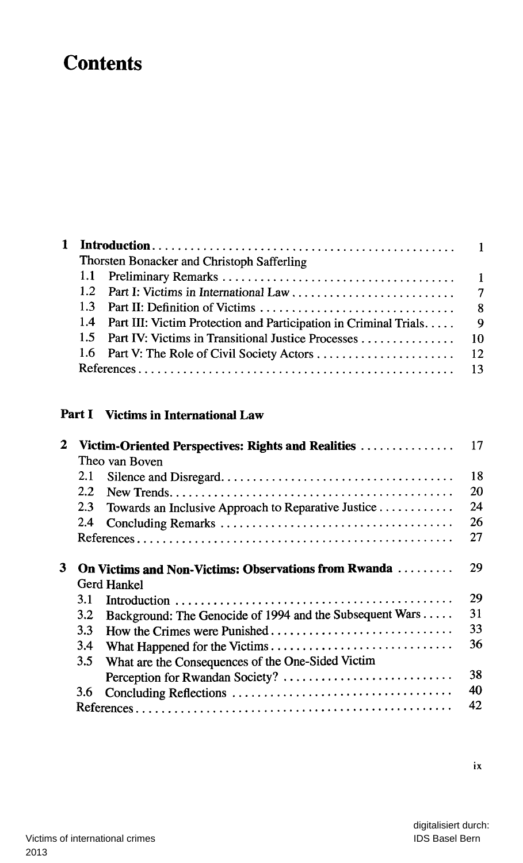# **Contents**

| Thorsten Bonacker and Christoph Safferling |                                                                      |                |  |
|--------------------------------------------|----------------------------------------------------------------------|----------------|--|
|                                            |                                                                      |                |  |
|                                            |                                                                      |                |  |
|                                            |                                                                      |                |  |
|                                            | 1.4 Part III: Victim Protection and Participation in Criminal Trials | $\overline{9}$ |  |
|                                            |                                                                      |                |  |
|                                            |                                                                      |                |  |
|                                            |                                                                      |                |  |
|                                            |                                                                      |                |  |

#### **Part I** Victims in International Law

| $\mathbf{2}$ |                | Victim-Oriented Perspectives: Rights and Realities                         | 17 |
|--------------|----------------|----------------------------------------------------------------------------|----|
|              | Theo van Boven |                                                                            |    |
|              | 2.1            |                                                                            | 18 |
|              | 2.2            |                                                                            | 20 |
|              | 2.3            | Towards an Inclusive Approach to Reparative Justice                        | 24 |
|              | 2.4            |                                                                            | 26 |
|              |                |                                                                            | 27 |
| 3            |                | <b>On Victims and Non-Victims: Observations from Rwanda</b><br>Gerd Hankel | 29 |
|              | 3.1            |                                                                            | 29 |
|              | 3.2            | Background: The Genocide of 1994 and the Subsequent Wars                   | 31 |
|              | 3.3            |                                                                            | 33 |
|              | 3.4            |                                                                            | 36 |
|              | $3.5^{\circ}$  | What are the Consequences of the One-Sided Victim                          |    |
|              |                | Perception for Rwandan Society?                                            | 38 |
|              | 3.6            |                                                                            | 40 |
|              |                |                                                                            | 42 |

 $i\mathbf{x}$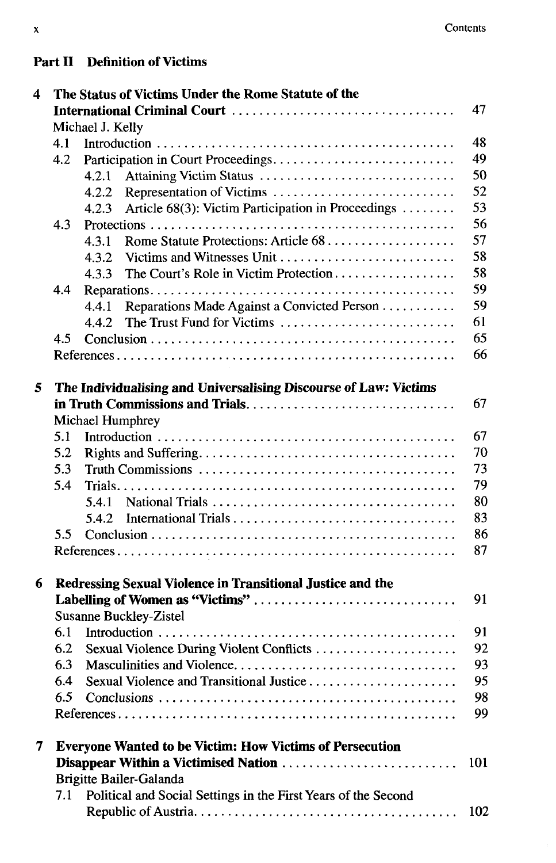### **Part II Definition of Victims**

| 4 |                  | The Status of Victims Under the Rome Statute of the              |     |  |  |  |  |
|---|------------------|------------------------------------------------------------------|-----|--|--|--|--|
|   |                  |                                                                  |     |  |  |  |  |
|   | Michael J. Kelly |                                                                  |     |  |  |  |  |
|   | 4.1              |                                                                  | 48  |  |  |  |  |
|   | 4.2              | Participation in Court Proceedings                               | 49  |  |  |  |  |
|   |                  | Attaining Victim Status<br>4.2.1                                 | 50  |  |  |  |  |
|   |                  | Representation of Victims<br>4.2.2                               | 52  |  |  |  |  |
|   |                  | Article 68(3): Victim Participation in Proceedings<br>4.2.3      | 53  |  |  |  |  |
|   | 4.3              |                                                                  | 56  |  |  |  |  |
|   |                  | 4.3.1                                                            | 57  |  |  |  |  |
|   |                  | 4.3.2<br>Victims and Witnesses Unit                              | 58  |  |  |  |  |
|   |                  | The Court's Role in Victim Protection<br>4.3.3                   | 58  |  |  |  |  |
|   | 4.4              |                                                                  | 59  |  |  |  |  |
|   |                  | Reparations Made Against a Convicted Person<br>4.4.1             | 59  |  |  |  |  |
|   |                  | The Trust Fund for Victims<br>4.4.2                              | 61  |  |  |  |  |
|   | 4.5              |                                                                  | 65  |  |  |  |  |
|   |                  |                                                                  | 66  |  |  |  |  |
| 5 |                  | The Individualising and Universalising Discourse of Law: Victims |     |  |  |  |  |
|   |                  |                                                                  | 67  |  |  |  |  |
|   |                  | <b>Michael Humphrey</b>                                          |     |  |  |  |  |
|   | 5.1              |                                                                  | 67  |  |  |  |  |
|   | 5.2              |                                                                  | 70  |  |  |  |  |
|   | 5.3              |                                                                  | 73  |  |  |  |  |
|   | 5.4              |                                                                  | 79  |  |  |  |  |
|   |                  |                                                                  | 80  |  |  |  |  |
|   |                  | 5.4.2                                                            | 83  |  |  |  |  |
|   | 5.5              |                                                                  | 86  |  |  |  |  |
|   |                  |                                                                  | 87  |  |  |  |  |
| 6 |                  | Redressing Sexual Violence in Transitional Justice and the       |     |  |  |  |  |
|   |                  | Labelling of Women as "Victims"                                  | 91  |  |  |  |  |
|   |                  | <b>Susanne Buckley-Zistel</b>                                    |     |  |  |  |  |
|   | 6.1              |                                                                  | 91  |  |  |  |  |
|   | 6.2              | Sexual Violence During Violent Conflicts                         | 92  |  |  |  |  |
|   |                  |                                                                  | 93  |  |  |  |  |
|   | 6.4              | Sexual Violence and Transitional Justice                         | 95  |  |  |  |  |
|   | 6.5              |                                                                  | 98  |  |  |  |  |
|   |                  |                                                                  | 99  |  |  |  |  |
| 7 |                  | <b>Everyone Wanted to be Victim: How Victims of Persecution</b>  |     |  |  |  |  |
|   |                  | Disappear Within a Victimised Nation                             | 101 |  |  |  |  |
|   |                  | Brigitte Bailer-Galanda                                          |     |  |  |  |  |
|   | 7.1              | Political and Social Settings in the First Years of the Second   |     |  |  |  |  |
|   |                  |                                                                  | 102 |  |  |  |  |
|   |                  |                                                                  |     |  |  |  |  |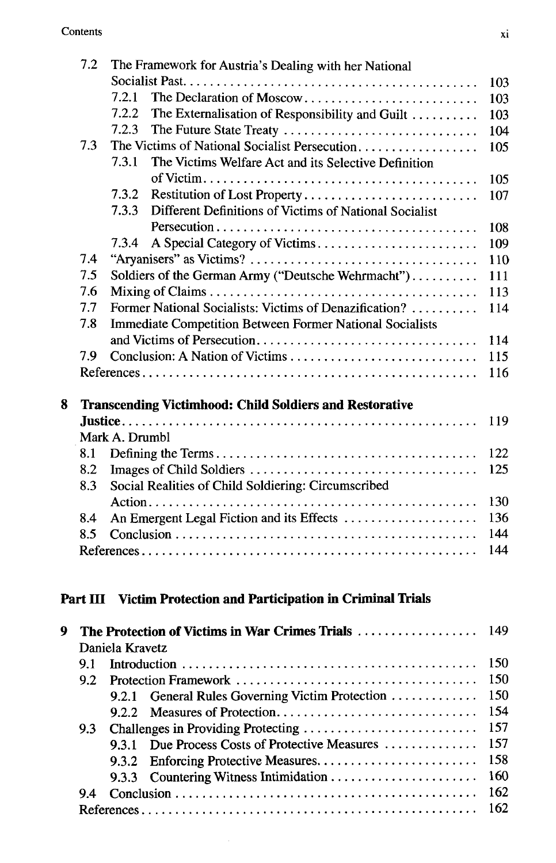|   | 7.2 | The Framework for Austria's Dealing with her National           |     |  |  |  |
|---|-----|-----------------------------------------------------------------|-----|--|--|--|
|   |     |                                                                 | 103 |  |  |  |
|   |     | The Declaration of Moscow<br>7.2.1                              | 103 |  |  |  |
|   |     | 7.2.2<br>The Externalisation of Responsibility and Guilt        | 103 |  |  |  |
|   |     | 7.2.3<br>The Future State Treaty                                | 104 |  |  |  |
|   | 7.3 | The Victims of National Socialist Persecution.                  | 105 |  |  |  |
|   |     | 7.3.1<br>The Victims Welfare Act and its Selective Definition   |     |  |  |  |
|   |     |                                                                 | 105 |  |  |  |
|   |     | 7.3.2<br>Restitution of Lost Property                           | 107 |  |  |  |
|   |     | 7.3.3<br>Different Definitions of Victims of National Socialist |     |  |  |  |
|   |     |                                                                 | 108 |  |  |  |
|   |     | 7.3.4                                                           | 109 |  |  |  |
|   | 7.4 |                                                                 | 110 |  |  |  |
|   | 7.5 | Soldiers of the German Army ("Deutsche Wehrmacht")              | 111 |  |  |  |
|   | 7.6 |                                                                 | 113 |  |  |  |
|   | 7.7 | Former National Socialists: Victims of Denazification?          | 114 |  |  |  |
|   | 7.8 | <b>Immediate Competition Between Former National Socialists</b> |     |  |  |  |
|   |     |                                                                 | 114 |  |  |  |
|   | 7.9 |                                                                 | 115 |  |  |  |
|   |     |                                                                 | 116 |  |  |  |
|   |     |                                                                 |     |  |  |  |
| 8 |     | <b>Transcending Victimhood: Child Soldiers and Restorative</b>  |     |  |  |  |
|   |     |                                                                 | 119 |  |  |  |
|   |     | Mark A. Drumbl                                                  |     |  |  |  |
|   | 8.1 |                                                                 | 122 |  |  |  |
|   | 8.2 |                                                                 | 125 |  |  |  |
|   | 8.3 | Social Realities of Child Soldiering: Circumscribed             |     |  |  |  |
|   |     |                                                                 | 130 |  |  |  |
|   | 8.4 | An Emergent Legal Fiction and its Effects                       | 136 |  |  |  |
|   | 8.5 |                                                                 | 144 |  |  |  |
|   |     |                                                                 | 144 |  |  |  |
|   |     |                                                                 |     |  |  |  |
|   |     |                                                                 |     |  |  |  |
|   |     | Part III Victim Protection and Participation in Criminal Trials |     |  |  |  |
| 9 |     | The Protection of Victims in War Crimes Trials                  | 149 |  |  |  |
|   |     | Daniela Kravetz                                                 |     |  |  |  |
|   | 9.1 |                                                                 | 150 |  |  |  |
|   | 9.2 |                                                                 | 150 |  |  |  |
|   |     | General Rules Governing Victim Protection<br>9.2.1              | 150 |  |  |  |
|   |     | Measures of Protection<br>9.2.2                                 | 154 |  |  |  |
|   | 9.3 | Challenges in Providing Protecting                              | 157 |  |  |  |
|   |     | Due Process Costs of Protective Measures<br>9.3.1               | 157 |  |  |  |
|   |     | 9.3.2                                                           | 158 |  |  |  |
|   |     |                                                                 |     |  |  |  |

9.3.3 Countering Witness Intimidation 160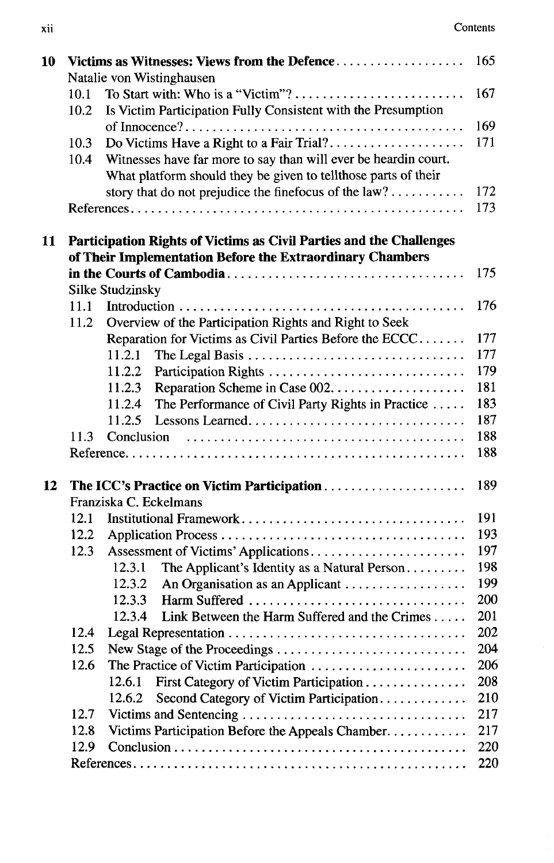| 10 |      | Victims as Witnesses: Views from the Defence                        | 165 |
|----|------|---------------------------------------------------------------------|-----|
|    |      | Natalie von Wistinghausen                                           |     |
|    | 10.1 |                                                                     | 167 |
|    | 10.2 | Is Victim Participation Fully Consistent with the Presumption       |     |
|    |      |                                                                     | 169 |
|    | 10.3 | Do Victims Have a Right to a Fair Trial?                            | 171 |
|    | 10.4 | Witnesses have far more to say than will ever be heardin court.     |     |
|    |      | What platform should they be given to tellthose parts of their      |     |
|    |      | story that do not prejudice the finefocus of the $law$ ?            | 172 |
|    |      |                                                                     | 173 |
| 11 |      | Participation Rights of Victims as Civil Parties and the Challenges |     |
|    |      | of Their Implementation Before the Extraordinary Chambers           |     |
|    |      |                                                                     | 175 |
|    |      | <b>Silke Studzinsky</b>                                             |     |
|    | 11.1 |                                                                     | 176 |
|    | 11.2 | Overview of the Participation Rights and Right to Seek              |     |
|    |      | Reparation for Victims as Civil Parties Before the ECCC             | 177 |
|    |      | 11.2.1                                                              | 177 |
|    |      | 11.2.2                                                              | 179 |
|    |      | 11.2.3                                                              | 181 |
|    |      | 11.2.4<br>The Performance of Civil Party Rights in Practice         | 183 |
|    |      | Lessons Learned<br>11.2.5                                           | 187 |
|    | 11.3 |                                                                     | 188 |
|    |      |                                                                     | 188 |
| 12 |      | The ICC's Practice on Victim Participation                          | 189 |
|    |      | Franziska C. Eckelmans                                              |     |
|    | 12.1 | Institutional Framework                                             | 191 |
|    | 12.2 |                                                                     | 193 |
|    | 12.3 |                                                                     | 197 |
|    |      | 12.3.1<br>The Applicant's Identity as a Natural Person              | 198 |
|    |      | 12.3.2<br>An Organisation as an Applicant                           | 199 |
|    |      | 12.3.3<br>Harm Suffered                                             | 200 |
|    |      | Link Between the Harm Suffered and the Crimes<br>12.3.4             | 201 |
|    |      |                                                                     | 202 |
|    | 12.5 | New Stage of the Proceedings                                        | 204 |
|    | 12.6 | The Practice of Victim Participation                                | 206 |
|    |      | First Category of Victim Participation<br>12.6.1                    | 208 |
|    |      | Second Category of Victim Participation<br>12.6.2                   | 210 |
|    | 12.7 |                                                                     | 217 |
|    | 12.8 | Victims Participation Before the Appeals Chamber                    | 217 |
|    | 12.9 |                                                                     | 220 |
|    |      |                                                                     | 220 |
|    |      |                                                                     |     |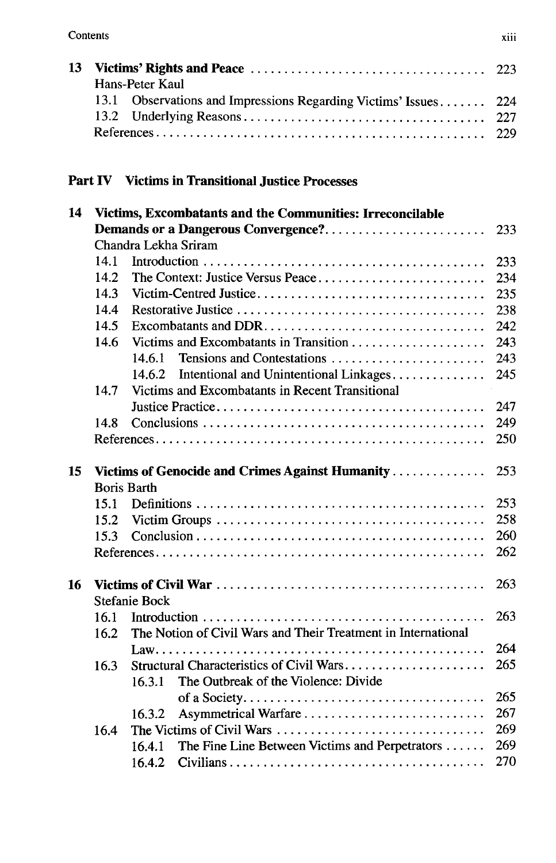| Hans-Peter Kaul |                                                                 |  |
|-----------------|-----------------------------------------------------------------|--|
|                 | 13.1 Observations and Impressions Regarding Victims' Issues 224 |  |
|                 |                                                                 |  |
|                 |                                                                 |  |

#### **Part IV Victims in Transitional Justice Processes**

| 14 |                                                 | Victims, Excombatants and the Communities: Irreconcilable     |     |  |  |
|----|-------------------------------------------------|---------------------------------------------------------------|-----|--|--|
|    | Demands or a Dangerous Convergence?             |                                                               |     |  |  |
|    |                                                 | Chandra Lekha Sriram                                          |     |  |  |
|    | 14.1                                            |                                                               | 233 |  |  |
|    | 14.2                                            | The Context: Justice Versus Peace                             | 234 |  |  |
|    | 14.3                                            |                                                               | 235 |  |  |
|    | 14.4                                            |                                                               | 238 |  |  |
|    | 14.5                                            | Excombatants and DDR                                          | 242 |  |  |
|    | 14.6                                            |                                                               | 243 |  |  |
|    |                                                 | Tensions and Contestations<br>14.6.1                          | 243 |  |  |
|    |                                                 | Intentional and Unintentional Linkages<br>14.6.2              | 245 |  |  |
|    | 14.7                                            | Victims and Excombatants in Recent Transitional               |     |  |  |
|    |                                                 |                                                               | 247 |  |  |
|    | 14.8                                            |                                                               | 249 |  |  |
|    |                                                 |                                                               | 250 |  |  |
|    |                                                 |                                                               |     |  |  |
| 15 | Victims of Genocide and Crimes Against Humanity |                                                               |     |  |  |
|    |                                                 | <b>Boris Barth</b>                                            |     |  |  |
|    | 15.1                                            |                                                               | 253 |  |  |
|    | 15.2                                            |                                                               | 258 |  |  |
|    | 15.3                                            |                                                               | 260 |  |  |
|    |                                                 |                                                               | 262 |  |  |
| 16 |                                                 |                                                               | 263 |  |  |
|    |                                                 | <b>Stefanie Bock</b>                                          |     |  |  |
|    | 16.1                                            |                                                               | 263 |  |  |
|    | 16.2                                            | The Notion of Civil Wars and Their Treatment in International |     |  |  |
|    |                                                 | $Law.$                                                        | 264 |  |  |
|    | 16.3                                            | Structural Characteristics of Civil Wars                      | 265 |  |  |
|    |                                                 | The Outbreak of the Violence: Divide<br>16.3.1                |     |  |  |
|    |                                                 |                                                               | 265 |  |  |
|    |                                                 | Asymmetrical Warfare<br>16.3.2                                | 267 |  |  |
|    | 16.4                                            | The Victims of Civil Wars                                     | 269 |  |  |
|    |                                                 | The Fine Line Between Victims and Perpetrators<br>16.4.1      | 269 |  |  |
|    |                                                 |                                                               |     |  |  |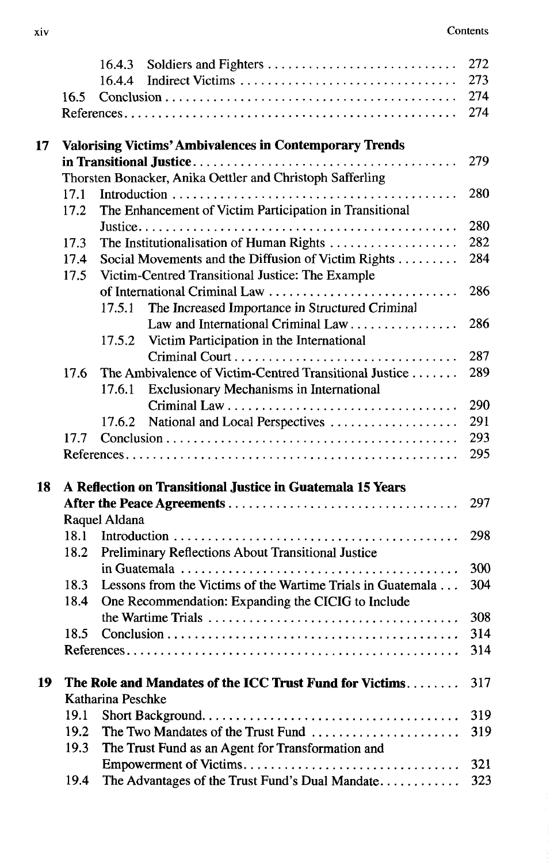|    |      | Soldiers and Fighters<br>16.4.3                                | 272 |
|----|------|----------------------------------------------------------------|-----|
|    |      | 16.4.4                                                         | 273 |
|    | 16.5 |                                                                | 274 |
|    |      |                                                                | 274 |
| 17 |      | <b>Valorising Victims' Ambivalences in Contemporary Trends</b> |     |
|    |      |                                                                | 279 |
|    |      | Thorsten Bonacker, Anika Oettler and Christoph Safferling      |     |
|    | 17.1 |                                                                | 280 |
|    | 17.2 | The Enhancement of Victim Participation in Transitional        |     |
|    |      |                                                                | 280 |
|    | 17.3 | The Institutionalisation of Human Rights                       | 282 |
|    | 17.4 | Social Movements and the Diffusion of Victim Rights            | 284 |
|    | 17.5 | Victim-Centred Transitional Justice: The Example               |     |
|    |      | of International Criminal Law                                  | 286 |
|    |      | The Increased Importance in Structured Criminal<br>17.5.1      |     |
|    |      | Law and International Criminal Law                             | 286 |
|    |      | Victim Participation in the International<br>17.5.2            |     |
|    |      |                                                                | 287 |
|    | 17.6 | The Ambivalence of Victim-Centred Transitional Justice         | 289 |
|    |      | <b>Exclusionary Mechanisms in International</b><br>17.6.1      |     |
|    |      |                                                                | 290 |
|    |      | National and Local Perspectives<br>17.6.2                      | 291 |
|    | 17.7 |                                                                | 293 |
|    |      |                                                                | 295 |
| 18 |      | A Reflection on Transitional Justice in Guatemala 15 Years     |     |
|    |      |                                                                | 297 |
|    |      | Raquel Aldana                                                  |     |
|    | 18.1 |                                                                | 298 |
|    | 18.2 | Preliminary Reflections About Transitional Justice             |     |
|    |      |                                                                | 300 |
|    | 18.3 | Lessons from the Victims of the Wartime Trials in Guatemala    | 304 |
|    | 18.4 | One Recommendation: Expanding the CICIG to Include             |     |
|    |      |                                                                | 308 |
|    | 18.5 |                                                                | 314 |
|    |      |                                                                | 314 |
| 19 |      | The Role and Mandates of the ICC Trust Fund for Victims        | 317 |
|    |      | Katharina Peschke                                              |     |
|    | 19.1 |                                                                | 319 |
|    | 19.2 | The Two Mandates of the Trust Fund                             | 319 |
|    | 19.3 | The Trust Fund as an Agent for Transformation and              |     |
|    |      | Empowerment of Victims                                         | 321 |
|    | 19.4 | The Advantages of the Trust Fund's Dual Mandate                | 323 |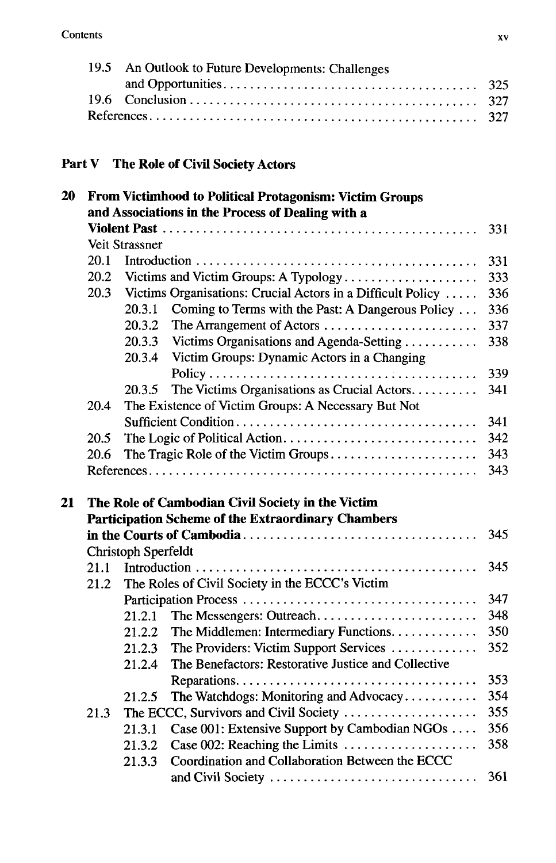| 19.5 An Outlook to Future Developments: Challenges |  |
|----------------------------------------------------|--|
|                                                    |  |
|                                                    |  |
|                                                    |  |

## **Part V The Role of Civil Society Actors**

| 20 | <b>From Victimhood to Political Protagonism: Victim Groups</b><br>and Associations in the Process of Dealing with a |                     |                                                             |     |  |  |
|----|---------------------------------------------------------------------------------------------------------------------|---------------------|-------------------------------------------------------------|-----|--|--|
|    |                                                                                                                     |                     |                                                             |     |  |  |
|    |                                                                                                                     | Veit Strassner      |                                                             | 331 |  |  |
|    | 20.1                                                                                                                |                     |                                                             | 331 |  |  |
|    | 20.2                                                                                                                |                     | Victims and Victim Groups: A Typology                       | 333 |  |  |
|    | 20.3                                                                                                                |                     | Victims Organisations: Crucial Actors in a Difficult Policy | 336 |  |  |
|    |                                                                                                                     | 20.3.1              | Coming to Terms with the Past: A Dangerous Policy           | 336 |  |  |
|    |                                                                                                                     | 20.3.2              | The Arrangement of Actors                                   | 337 |  |  |
|    |                                                                                                                     | 20.3.3              | Victims Organisations and Agenda-Setting                    | 338 |  |  |
|    |                                                                                                                     | 20.3.4              | Victim Groups: Dynamic Actors in a Changing                 |     |  |  |
|    |                                                                                                                     |                     |                                                             | 339 |  |  |
|    |                                                                                                                     |                     | The Victims Organisations as Crucial Actors                 | 341 |  |  |
|    |                                                                                                                     | 20.3.5              |                                                             |     |  |  |
|    | 20.4                                                                                                                |                     | The Existence of Victim Groups: A Necessary But Not         |     |  |  |
|    |                                                                                                                     |                     |                                                             | 341 |  |  |
|    | 20.5                                                                                                                |                     |                                                             | 342 |  |  |
|    | 20.6                                                                                                                |                     | The Tragic Role of the Victim Groups                        | 343 |  |  |
|    |                                                                                                                     |                     |                                                             | 343 |  |  |
| 21 | The Role of Cambodian Civil Society in the Victim                                                                   |                     |                                                             |     |  |  |
|    |                                                                                                                     |                     | <b>Participation Scheme of the Extraordinary Chambers</b>   |     |  |  |
|    |                                                                                                                     |                     |                                                             | 345 |  |  |
|    |                                                                                                                     | Christoph Sperfeldt |                                                             |     |  |  |
|    | 21.1                                                                                                                |                     |                                                             | 345 |  |  |
|    | 21.2                                                                                                                |                     | The Roles of Civil Society in the ECCC's Victim             |     |  |  |
|    |                                                                                                                     |                     |                                                             | 347 |  |  |
|    |                                                                                                                     | 21.2.1              | The Messengers: Outreach                                    | 348 |  |  |
|    |                                                                                                                     | 21.2.2              | The Middlemen: Intermediary Functions.                      | 350 |  |  |
|    |                                                                                                                     | 21.2.3              | The Providers: Victim Support Services                      | 352 |  |  |
|    |                                                                                                                     | 21.2.4              | The Benefactors: Restorative Justice and Collective         |     |  |  |
|    |                                                                                                                     |                     |                                                             | 353 |  |  |
|    |                                                                                                                     | 21.2.5              | The Watchdogs: Monitoring and Advocacy                      | 354 |  |  |
|    | 21.3                                                                                                                |                     | The ECCC, Survivors and Civil Society                       | 355 |  |  |
|    |                                                                                                                     | 21.3.1              | Case 001: Extensive Support by Cambodian NGOs               | 356 |  |  |
|    |                                                                                                                     | 21.3.2              | Case 002: Reaching the Limits                               | 358 |  |  |
|    |                                                                                                                     | 21.3.3              | Coordination and Collaboration Between the ECCC             |     |  |  |
|    |                                                                                                                     |                     |                                                             | 361 |  |  |
|    |                                                                                                                     |                     | and Civil Society                                           |     |  |  |